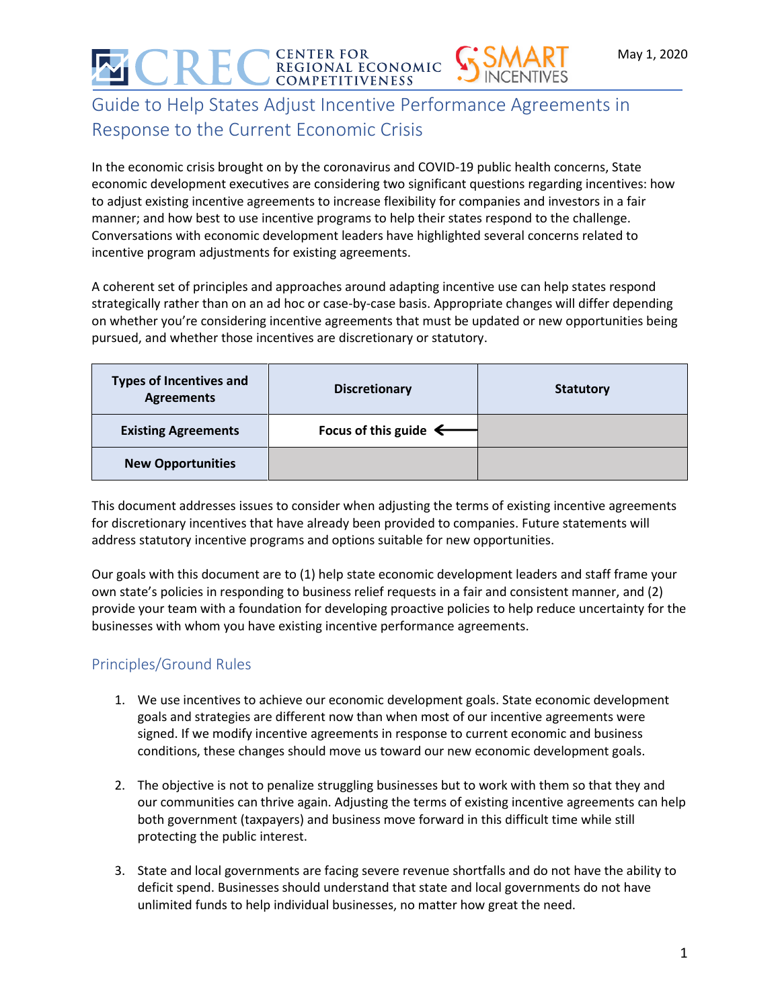# | CENTER FOR<br>| regional economic<br>| competitiveness

# Guide to Help States Adjust Incentive Performance Agreements in Response to the Current Economic Crisis

In the economic crisis brought on by the coronavirus and COVID-19 public health concerns, State economic development executives are considering two significant questions regarding incentives: how to adjust existing incentive agreements to increase flexibility for companies and investors in a fair manner; and how best to use incentive programs to help their states respond to the challenge. Conversations with economic development leaders have highlighted several concerns related to incentive program adjustments for existing agreements.

A coherent set of principles and approaches around adapting incentive use can help states respond strategically rather than on an ad hoc or case-by-case basis. Appropriate changes will differ depending on whether you're considering incentive agreements that must be updated or new opportunities being pursued, and whether those incentives are discretionary or statutory.

| <b>Types of Incentives and</b><br><b>Agreements</b> | <b>Discretionary</b>             | <b>Statutory</b> |
|-----------------------------------------------------|----------------------------------|------------------|
| <b>Existing Agreements</b>                          | Focus of this guide $\leftarrow$ |                  |
| <b>New Opportunities</b>                            |                                  |                  |

This document addresses issues to consider when adjusting the terms of existing incentive agreements for discretionary incentives that have already been provided to companies. Future statements will address statutory incentive programs and options suitable for new opportunities.

Our goals with this document are to (1) help state economic development leaders and staff frame your own state's policies in responding to business relief requests in a fair and consistent manner, and (2) provide your team with a foundation for developing proactive policies to help reduce uncertainty for the businesses with whom you have existing incentive performance agreements.

## Principles/Ground Rules

- 1. We use incentives to achieve our economic development goals. State economic development goals and strategies are different now than when most of our incentive agreements were signed. If we modify incentive agreements in response to current economic and business conditions, these changes should move us toward our new economic development goals.
- 2. The objective is not to penalize struggling businesses but to work with them so that they and our communities can thrive again. Adjusting the terms of existing incentive agreements can help both government (taxpayers) and business move forward in this difficult time while still protecting the public interest.
- 3. State and local governments are facing severe revenue shortfalls and do not have the ability to deficit spend. Businesses should understand that state and local governments do not have unlimited funds to help individual businesses, no matter how great the need.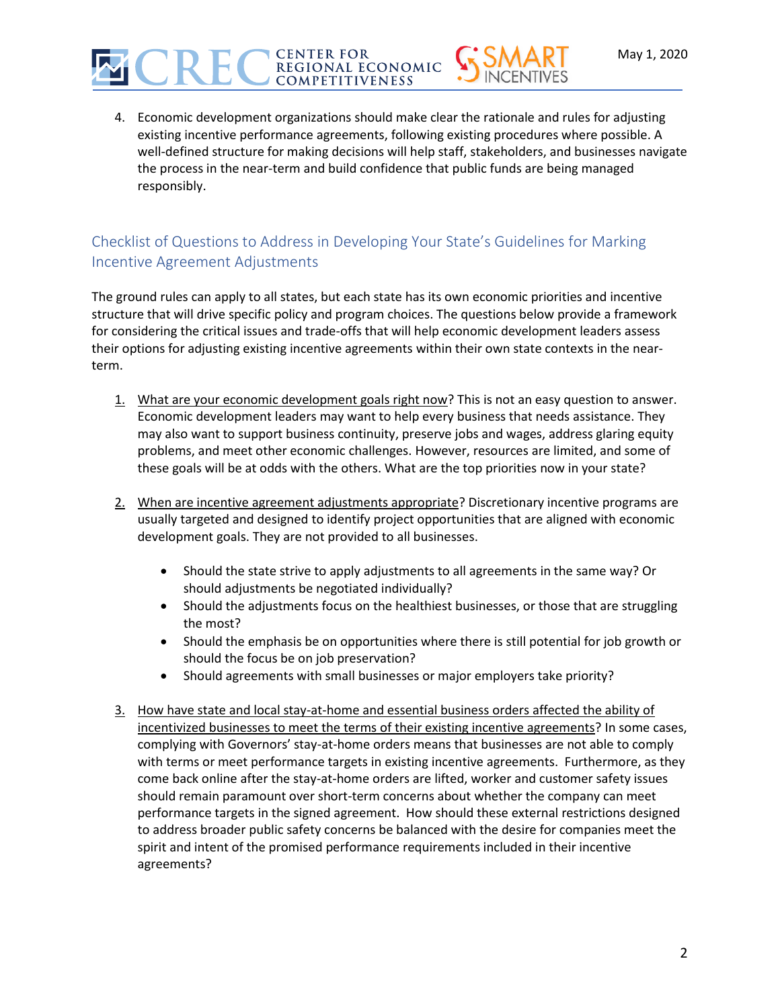

### Checklist of Questions to Address in Developing Your State's Guidelines for Marking Incentive Agreement Adjustments

CENTER FOR<br>REGIONAL ECONOMIC **COMPETITIVENESS** 

The ground rules can apply to all states, but each state has its own economic priorities and incentive structure that will drive specific policy and program choices. The questions below provide a framework for considering the critical issues and trade-offs that will help economic development leaders assess their options for adjusting existing incentive agreements within their own state contexts in the nearterm.

- 1. What are your economic development goals right now? This is not an easy question to answer. Economic development leaders may want to help every business that needs assistance. They may also want to support business continuity, preserve jobs and wages, address glaring equity problems, and meet other economic challenges. However, resources are limited, and some of these goals will be at odds with the others. What are the top priorities now in your state?
- 2. When are incentive agreement adjustments appropriate? Discretionary incentive programs are usually targeted and designed to identify project opportunities that are aligned with economic development goals. They are not provided to all businesses.
	- Should the state strive to apply adjustments to all agreements in the same way? Or should adjustments be negotiated individually?
	- Should the adjustments focus on the healthiest businesses, or those that are struggling the most?
	- Should the emphasis be on opportunities where there is still potential for job growth or should the focus be on job preservation?
	- Should agreements with small businesses or major employers take priority?
- 3. How have state and local stay-at-home and essential business orders affected the ability of incentivized businesses to meet the terms of their existing incentive agreements? In some cases, complying with Governors' stay-at-home orders means that businesses are not able to comply with terms or meet performance targets in existing incentive agreements. Furthermore, as they come back online after the stay-at-home orders are lifted, worker and customer safety issues should remain paramount over short-term concerns about whether the company can meet performance targets in the signed agreement. How should these external restrictions designed to address broader public safety concerns be balanced with the desire for companies meet the spirit and intent of the promised performance requirements included in their incentive agreements?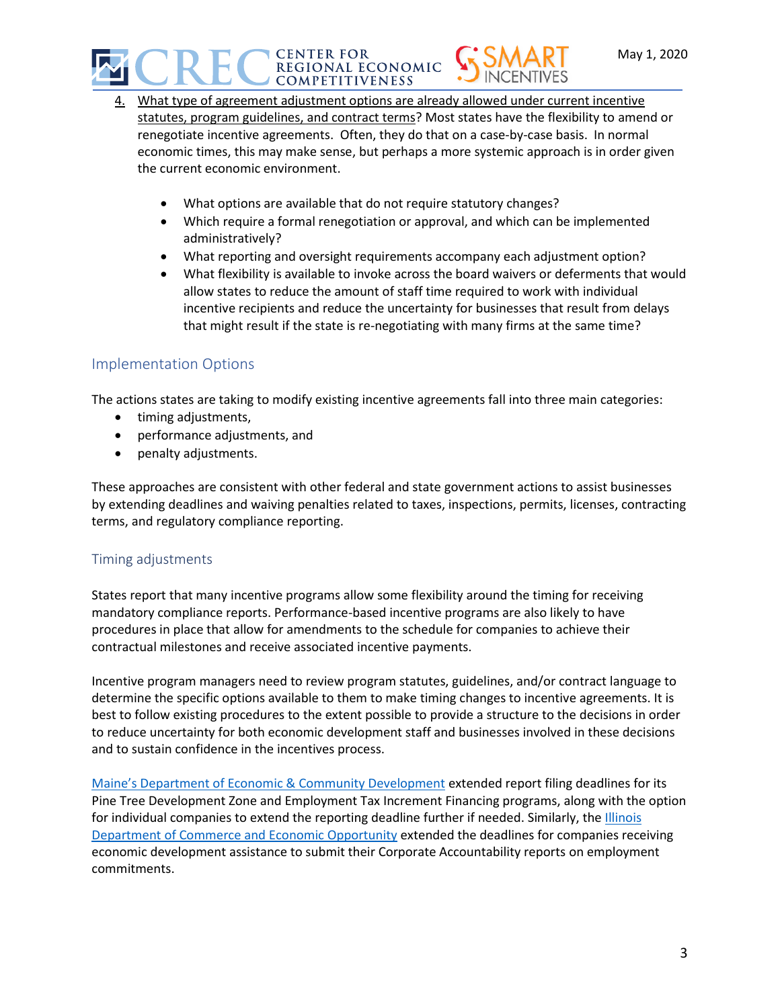

- 4. What type of agreement adjustment options are already allowed under current incentive statutes, program guidelines, and contract terms? Most states have the flexibility to amend or renegotiate incentive agreements. Often, they do that on a case-by-case basis. In normal economic times, this may make sense, but perhaps a more systemic approach is in order given the current economic environment.
	- What options are available that do not require statutory changes?
	- Which require a formal renegotiation or approval, and which can be implemented administratively?
	- What reporting and oversight requirements accompany each adjustment option?
	- What flexibility is available to invoke across the board waivers or deferments that would allow states to reduce the amount of staff time required to work with individual incentive recipients and reduce the uncertainty for businesses that result from delays that might result if the state is re-negotiating with many firms at the same time?

#### Implementation Options

The actions states are taking to modify existing incentive agreements fall into three main categories:

- timing adjustments,
- performance adjustments, and
- penalty adjustments.

These approaches are consistent with other federal and state government actions to assist businesses by extending deadlines and waiving penalties related to taxes, inspections, permits, licenses, contracting terms, and regulatory compliance reporting.

#### Timing adjustments

States report that many incentive programs allow some flexibility around the timing for receiving mandatory compliance reports. Performance-based incentive programs are also likely to have procedures in place that allow for amendments to the schedule for companies to achieve their contractual milestones and receive associated incentive payments.

Incentive program managers need to review program statutes, guidelines, and/or contract language to determine the specific options available to them to make timing changes to incentive agreements. It is best to follow existing procedures to the extent possible to provide a structure to the decisions in order to reduce uncertainty for both economic development staff and businesses involved in these decisions and to sustain confidence in the incentives process.

Maine's Depa[rtment of Economic & Community Development](https://www.maine.gov/decd/business-development/tax-incentives-credit/annual-reporting-requirements) extended report filing deadlines for its Pine Tree Development Zone and Employment Tax Increment Financing programs, along with the option for individual companies to extend the reporting deadline further if needed. Similarly, the Illinois [Department of Commerce and Economic Opportunity](https://www.ilcorpacct.com/corpacct/) extended the deadlines for companies receiving economic development assistance to submit their Corporate Accountability reports on employment commitments.